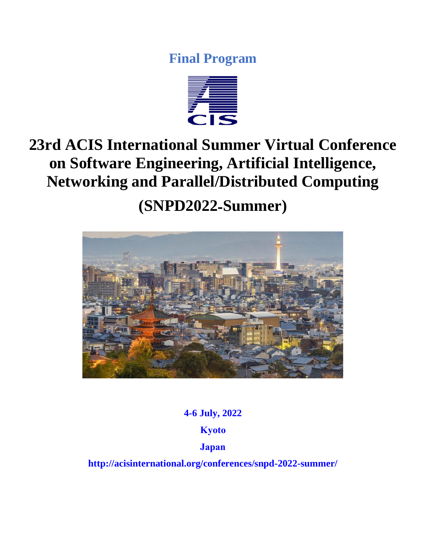**Final Program**



# **23rd ACIS International Summer Virtual Conference on Software Engineering, Artificial Intelligence, Networking and Parallel/Distributed Computing**

# **(SNPD2022**-**Summer)**



**4-6 July, 2022 Kyoto Japan**

**http://acisinternational.org/conferences/snpd-2022-summer/**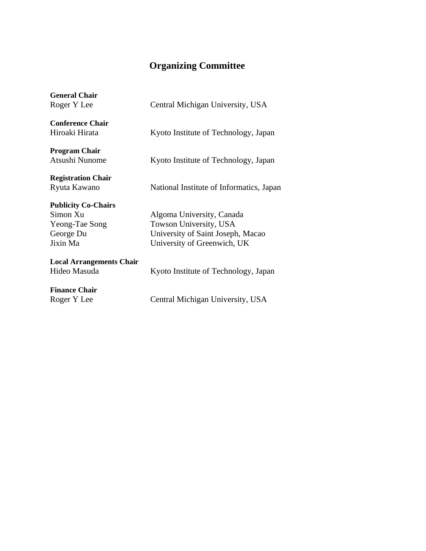## **Organizing Committee**

| <b>General Chair</b><br>Roger Y Lee                                               | Central Michigan University, USA                                                                                        |
|-----------------------------------------------------------------------------------|-------------------------------------------------------------------------------------------------------------------------|
| <b>Conference Chair</b><br>Hiroaki Hirata                                         | Kyoto Institute of Technology, Japan                                                                                    |
| <b>Program Chair</b><br>Atsushi Nunome                                            | Kyoto Institute of Technology, Japan                                                                                    |
| <b>Registration Chair</b><br>Ryuta Kawano                                         | National Institute of Informatics, Japan                                                                                |
| <b>Publicity Co-Chairs</b><br>Simon Xu<br>Yeong-Tae Song<br>George Du<br>Jixin Ma | Algoma University, Canada<br>Towson University, USA<br>University of Saint Joseph, Macao<br>University of Greenwich, UK |
| <b>Local Arrangements Chair</b><br>Hideo Masuda                                   | Kyoto Institute of Technology, Japan                                                                                    |
| <b>Finance Chair</b><br>Roger Y Lee                                               | Central Michigan University, USA                                                                                        |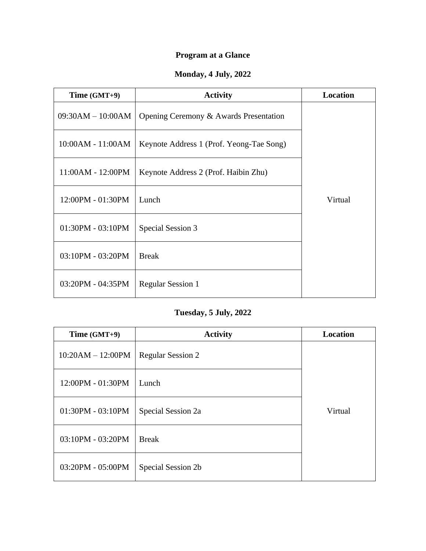## **Program at a Glance**

## **Monday, 4 July, 2022**

| $Time (GMT+9)$      | <b>Activity</b>                          | <b>Location</b> |
|---------------------|------------------------------------------|-----------------|
| $09:30AM - 10:00AM$ | Opening Ceremony & Awards Presentation   |                 |
| 10:00AM - 11:00AM   | Keynote Address 1 (Prof. Yeong-Tae Song) |                 |
| 11:00AM - 12:00PM   | Keynote Address 2 (Prof. Haibin Zhu)     |                 |
| 12:00PM - 01:30PM   | Lunch                                    | Virtual         |
| 01:30PM - 03:10PM   | Special Session 3                        |                 |
| 03:10PM - 03:20PM   | <b>Break</b>                             |                 |
| 03:20PM - 04:35PM   | <b>Regular Session 1</b>                 |                 |

## **Tuesday, 5 July, 2022**

| $Time (GMT+9)$      | <b>Activity</b>          | <b>Location</b> |
|---------------------|--------------------------|-----------------|
| $10:20AM - 12:00PM$ | <b>Regular Session 2</b> |                 |
| 12:00PM - 01:30PM   | Lunch                    |                 |
| 01:30PM - 03:10PM   | Special Session 2a       | Virtual         |
| 03:10PM - 03:20PM   | <b>Break</b>             |                 |
| 03:20PM - 05:00PM   | Special Session 2b       |                 |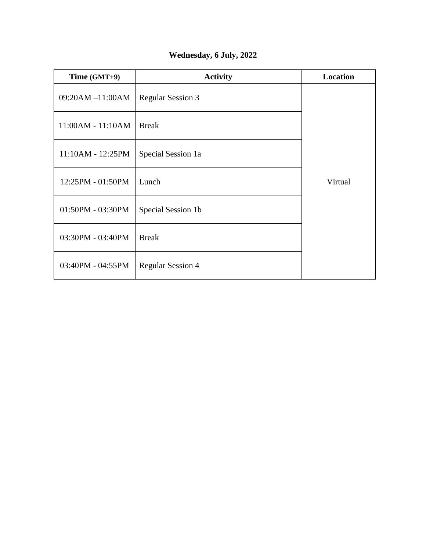| Wednesday, 6 July, 2022 |  |  |
|-------------------------|--|--|
|                         |  |  |

| Time $(GMT+9)$      | <b>Activity</b>          | <b>Location</b> |
|---------------------|--------------------------|-----------------|
| $09:20AM - 11:00AM$ | <b>Regular Session 3</b> |                 |
| $11:00AM - 11:10AM$ | <b>Break</b>             |                 |
| $11:10AM - 12:25PM$ | Special Session 1a       |                 |
| 12:25PM - 01:50PM   | Lunch                    | Virtual         |
| 01:50PM - 03:30PM   | Special Session 1b       |                 |
| 03:30PM - 03:40PM   | <b>Break</b>             |                 |
| 03:40PM - 04:55PM   | <b>Regular Session 4</b> |                 |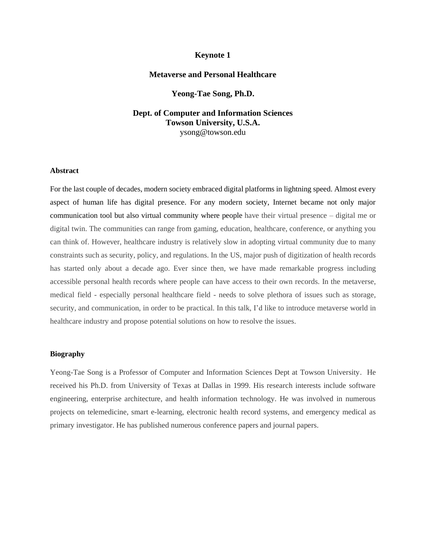#### **Keynote 1**

#### **Metaverse and Personal Healthcare**

#### **Yeong-Tae Song, Ph.D.**

#### **Dept. of Computer and Information Sciences Towson University, U.S.A.** ysong@towson.edu

#### **Abstract**

For the last couple of decades, modern society embraced digital platforms in lightning speed. Almost every aspect of human life has digital presence. For any modern society, Internet became not only major communication tool but also virtual community where people have their virtual presence – digital me or digital twin. The communities can range from gaming, education, healthcare, conference, or anything you can think of. However, healthcare industry is relatively slow in adopting virtual community due to many constraints such as security, policy, and regulations. In the US, major push of digitization of health records has started only about a decade ago. Ever since then, we have made remarkable progress including accessible personal health records where people can have access to their own records. In the metaverse, medical field - especially personal healthcare field - needs to solve plethora of issues such as storage, security, and communication, in order to be practical. In this talk, I'd like to introduce metaverse world in healthcare industry and propose potential solutions on how to resolve the issues.

#### **Biography**

Yeong-Tae Song is a Professor of Computer and Information Sciences Dept at Towson University. He received his Ph.D. from University of Texas at Dallas in 1999. His research interests include software engineering, enterprise architecture, and health information technology. He was involved in numerous projects on telemedicine, smart e-learning, electronic health record systems, and emergency medical as primary investigator. He has published numerous conference papers and journal papers.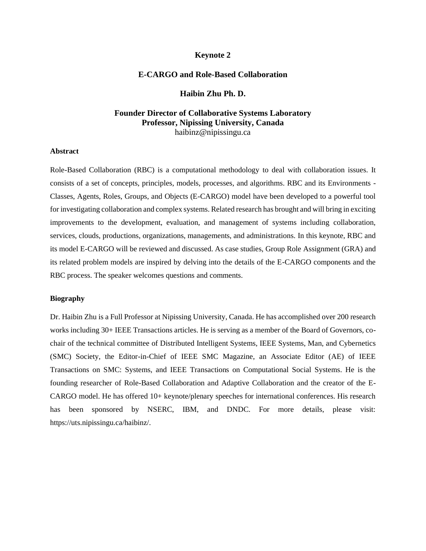#### **Keynote 2**

#### **E-CARGO and Role-Based Collaboration**

#### **Haibin Zhu Ph. D.**

#### **Founder Director of Collaborative Systems Laboratory Professor, Nipissing University, Canada** haibinz@nipissingu.ca

#### **Abstract**

Role-Based Collaboration (RBC) is a computational methodology to deal with collaboration issues. It consists of a set of concepts, principles, models, processes, and algorithms. RBC and its Environments - Classes, Agents, Roles, Groups, and Objects (E-CARGO) model have been developed to a powerful tool for investigating collaboration and complex systems. Related research has brought and will bring in exciting improvements to the development, evaluation, and management of systems including collaboration, services, clouds, productions, organizations, managements, and administrations. In this keynote, RBC and its model E-CARGO will be reviewed and discussed. As case studies, Group Role Assignment (GRA) and its related problem models are inspired by delving into the details of the E-CARGO components and the RBC process. The speaker welcomes questions and comments.

#### **Biography**

Dr. Haibin Zhu is a Full Professor at Nipissing University, Canada. He has accomplished over 200 research works including 30+ IEEE Transactions articles. He is serving as a member of the Board of Governors, cochair of the technical committee of Distributed Intelligent Systems, IEEE Systems, Man, and Cybernetics (SMC) Society, the Editor-in-Chief of IEEE SMC Magazine, an Associate Editor (AE) of IEEE Transactions on SMC: Systems, and IEEE Transactions on Computational Social Systems. He is the founding researcher of Role-Based Collaboration and Adaptive Collaboration and the creator of the E-CARGO model. He has offered 10+ keynote/plenary speeches for international conferences. His research has been sponsored by NSERC, IBM, and DNDC. For more details, please visit: https://uts.nipissingu.ca/haibinz/.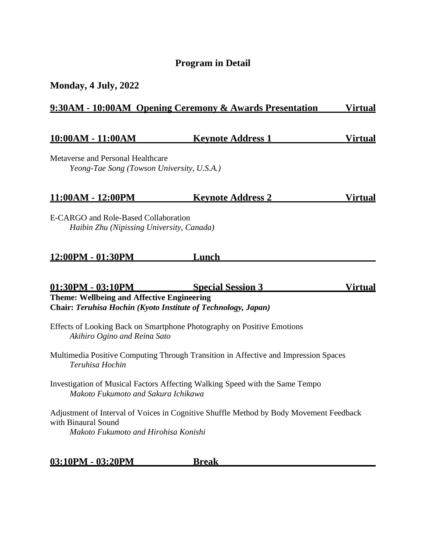## **Program in Detail**

### **Monday, 4 July, 2022**

#### **9:30AM - 10:00AM Opening Ceremony & Awards Presentation Virtual**

### **10:00AM - 11:00AM Keynote Address 1 Virtual**

Metaverse and Personal Healthcare *Yeong-Tae Song (Towson University, U.S.A.)*

| 11:00AM - 12:00PM | <b>Virtual</b><br><b>Keynote Address 2</b> |
|-------------------|--------------------------------------------|
|-------------------|--------------------------------------------|

E-CARGO and Role-Based Collaboration *Haibin Zhu (Nipissing University, Canada)*

## **12:00PM - 01:30PM Lunch**

| 01:30PM - 03:10PM                                                    | <b>Special Session 3</b>                                               | <b>Virtual</b> |
|----------------------------------------------------------------------|------------------------------------------------------------------------|----------------|
| <b>Theme: Wellbeing and Affective Engineering</b>                    |                                                                        |                |
| <b>Chair: Teruhisa Hochin (Kyoto Institute of Technology, Japan)</b> |                                                                        |                |
| Akihiro Ogino and Reina Sato                                         | Effects of Looking Back on Smartphone Photography on Positive Emotions |                |

Multimedia Positive Computing Through Transition in Affective and Impression Spaces *Teruhisa Hochin*

Investigation of Musical Factors Affecting Walking Speed with the Same Tempo *Makoto Fukumoto and Sakura Ichikawa*

Adjustment of Interval of Voices in Cognitive Shuffle Method by Body Movement Feedback with Binaural Sound *Makoto Fukumoto and Hirohisa Konishi*

**03:10PM - 03:20PM Break**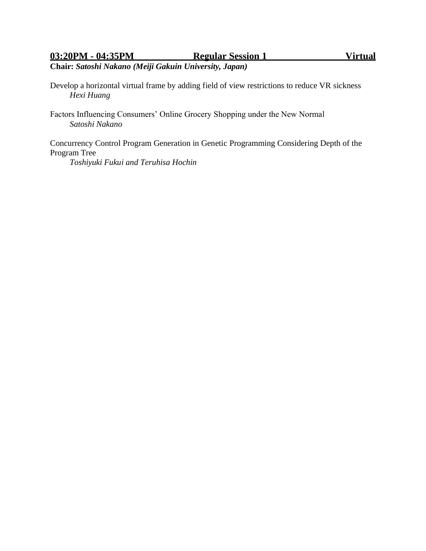## **03:20PM - 04:35PM Regular Session 1 Virtual**

**Chair:** *Satoshi Nakano (Meiji Gakuin University, Japan)*

Develop a horizontal virtual frame by adding field of view restrictions to reduce VR sickness *Hexi Huang*

Factors Influencing Consumers' Online Grocery Shopping under the New Normal *Satoshi Nakano*

Concurrency Control Program Generation in Genetic Programming Considering Depth of the Program Tree

*Toshiyuki Fukui and Teruhisa Hochin*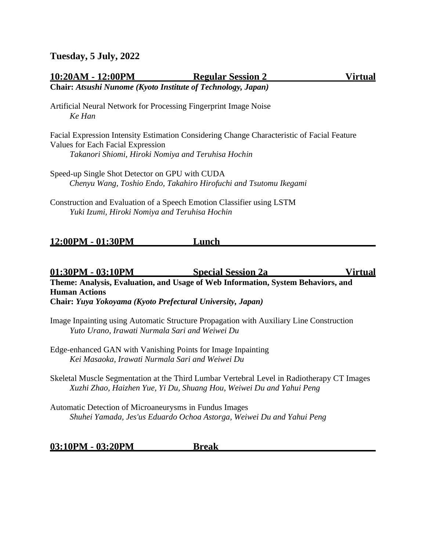### **Tuesday, 5 July, 2022**

## **10:20AM - 12:00PM Regular Session 2 Virtual**

**Chair:** *Atsushi Nunome (Kyoto Institute of Technology, Japan)* Artificial Neural Network for Processing Fingerprint Image Noise

*Ke Han*

Facial Expression Intensity Estimation Considering Change Characteristic of Facial Feature Values for Each Facial Expression *Takanori Shiomi, Hiroki Nomiya and Teruhisa Hochin*

Speed-up Single Shot Detector on GPU with CUDA *Chenyu Wang, Toshio Endo, Takahiro Hirofuchi and Tsutomu Ikegami*

Construction and Evaluation of a Speech Emotion Classifier using LSTM *Yuki Izumi, Hiroki Nomiya and Teruhisa Hochin*

## **12:00PM - 01:30PM Lunch**

#### **01:30PM - 03:10PM Special Session 2a Virtual Theme: Analysis, Evaluation, and Usage of Web Information, System Behaviors, and**

**Human Actions Chair:** *Yuya Yokoyama (Kyoto Prefectural University, Japan)*

Image Inpainting using Automatic Structure Propagation with Auxiliary Line Construction *Yuto Urano, Irawati Nurmala Sari and Weiwei Du*

Edge-enhanced GAN with Vanishing Points for Image Inpainting *Kei Masaoka, Irawati Nurmala Sari and Weiwei Du*

Skeletal Muscle Segmentation at the Third Lumbar Vertebral Level in Radiotherapy CT Images *Xuzhi Zhao, Haizhen Yue, Yi Du, Shuang Hou, Weiwei Du and Yahui Peng*

Automatic Detection of Microaneurysms in Fundus Images *Shuhei Yamada, Jes'us Eduardo Ochoa Astorga, Weiwei Du and Yahui Peng*

**03:10PM - 03:20PM Break**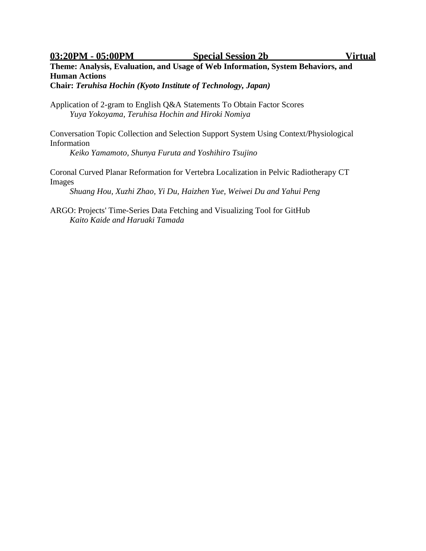**03:20PM - 05:00PM Special Session 2b Virtual**

**Theme: Analysis, Evaluation, and Usage of Web Information, System Behaviors, and Human Actions**

**Chair:** *Teruhisa Hochin (Kyoto Institute of Technology, Japan)*

Application of 2-gram to English Q&A Statements To Obtain Factor Scores *Yuya Yokoyama, Teruhisa Hochin and Hiroki Nomiya*

Conversation Topic Collection and Selection Support System Using Context/Physiological Information

*Keiko Yamamoto, Shunya Furuta and Yoshihiro Tsujino*

Coronal Curved Planar Reformation for Vertebra Localization in Pelvic Radiotherapy CT Images

*Shuang Hou, Xuzhi Zhao, Yi Du, Haizhen Yue, Weiwei Du and Yahui Peng*

ARGO: Projects' Time-Series Data Fetching and Visualizing Tool for GitHub *Kaito Kaide and Haruaki Tamada*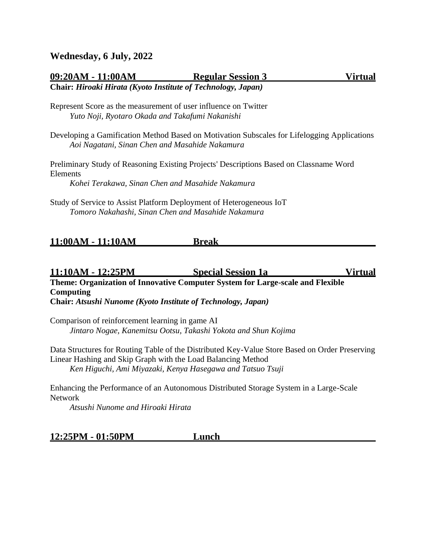## **09:20AM - 11:00AM Regular Session 3 Virtual**

**Chair:** *Hiroaki Hirata (Kyoto Institute of Technology, Japan)*

Represent Score as the measurement of user influence on Twitter *Yuto Noji, Ryotaro Okada and Takafumi Nakanishi*

Developing a Gamification Method Based on Motivation Subscales for Lifelogging Applications *Aoi Nagatani, Sinan Chen and Masahide Nakamura*

Preliminary Study of Reasoning Existing Projects' Descriptions Based on Classname Word Elements

*Kohei Terakawa, Sinan Chen and Masahide Nakamura*

Study of Service to Assist Platform Deployment of Heterogeneous IoT *Tomoro Nakahashi, Sinan Chen and Masahide Nakamura*

## **11:00AM - 11:10AM Break**

## **11:10AM - 12:25PM Special Session 1a Virtual**

**Theme: Organization of Innovative Computer System for Large-scale and Flexible Computing**

**Chair:** *Atsushi Nunome (Kyoto Institute of Technology, Japan)*

Comparison of reinforcement learning in game AI *Jintaro Nogae, Kanemitsu Ootsu, Takashi Yokota and Shun Kojima*

Data Structures for Routing Table of the Distributed Key-Value Store Based on Order Preserving Linear Hashing and Skip Graph with the Load Balancing Method *Ken Higuchi, Ami Miyazaki, Kenya Hasegawa and Tatsuo Tsuji*

Enhancing the Performance of an Autonomous Distributed Storage System in a Large-Scale Network

*Atsushi Nunome and Hiroaki Hirata*

**12:25PM - 01:50PM Lunch**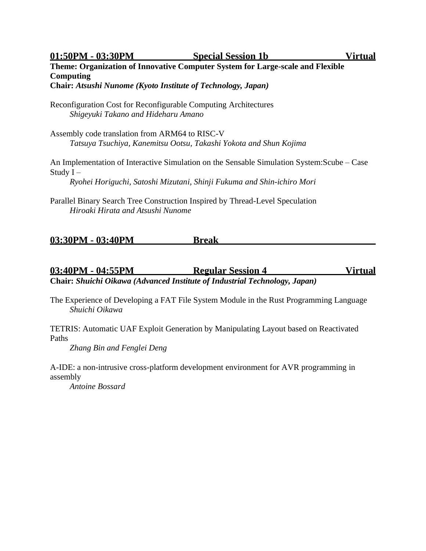**01:50PM - 03:30PM Special Session 1b Virtual**

**Theme: Organization of Innovative Computer System for Large-scale and Flexible Computing**

**Chair:** *Atsushi Nunome (Kyoto Institute of Technology, Japan)*

Reconfiguration Cost for Reconfigurable Computing Architectures *Shigeyuki Takano and Hideharu Amano*

Assembly code translation from ARM64 to RISC-V *Tatsuya Tsuchiya, Kanemitsu Ootsu, Takashi Yokota and Shun Kojima*

An Implementation of Interactive Simulation on the Sensable Simulation System:Scube – Case Study I –

*Ryohei Horiguchi, Satoshi Mizutani, Shinji Fukuma and Shin-ichiro Mori*

Parallel Binary Search Tree Construction Inspired by Thread-Level Speculation *Hiroaki Hirata and Atsushi Nunome*

#### **03:30PM - 03:40PM Break**

**03:40PM - 04:55PM Regular Session 4 Virtual Chair:** *Shuichi Oikawa (Advanced Institute of Industrial Technology, Japan)*

The Experience of Developing a FAT File System Module in the Rust Programming Language *Shuichi Oikawa*

TETRIS: Automatic UAF Exploit Generation by Manipulating Layout based on Reactivated Paths

*Zhang Bin and Fenglei Deng*

A-IDE: a non-intrusive cross-platform development environment for AVR programming in assembly

*Antoine Bossard*